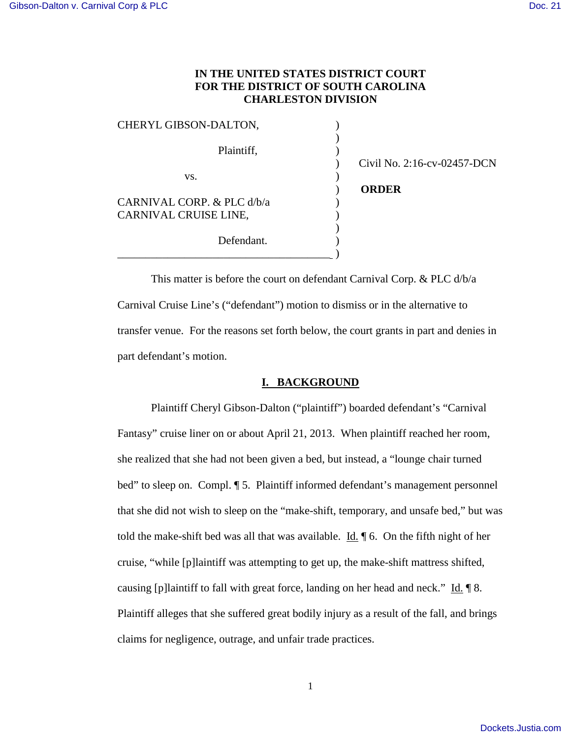## **IN THE UNITED STATES DISTRICT COURT FOR THE DISTRICT OF SOUTH CAROLINA CHARLESTON DIVISION**

| CHERYL GIBSON-DALTON,      |                             |
|----------------------------|-----------------------------|
|                            |                             |
| Plaintiff,                 |                             |
|                            | Civil No. 2:16-cv-02457-DCN |
| VS.                        |                             |
|                            | <b>ORDER</b>                |
| CARNIVAL CORP. & PLC d/b/a |                             |
| CARNIVAL CRUISE LINE,      |                             |
|                            |                             |
| Defendant.                 |                             |
|                            |                             |

This matter is before the court on defendant Carnival Corp. & PLC d/b/a Carnival Cruise Line's ("defendant") motion to dismiss or in the alternative to transfer venue. For the reasons set forth below, the court grants in part and denies in part defendant's motion.

### **I. BACKGROUND**

Plaintiff Cheryl Gibson-Dalton ("plaintiff") boarded defendant's "Carnival Fantasy" cruise liner on or about April 21, 2013. When plaintiff reached her room, she realized that she had not been given a bed, but instead, a "lounge chair turned bed" to sleep on. Compl. ¶ 5. Plaintiff informed defendant's management personnel that she did not wish to sleep on the "make-shift, temporary, and unsafe bed," but was told the make-shift bed was all that was available.  $\underline{Id}$ .  $\blacksquare$  6. On the fifth night of her cruise, "while [p]laintiff was attempting to get up, the make-shift mattress shifted, causing [p]laintiff to fall with great force, landing on her head and neck."  $\underline{Id}$ .  $\P$  8. Plaintiff alleges that she suffered great bodily injury as a result of the fall, and brings claims for negligence, outrage, and unfair trade practices.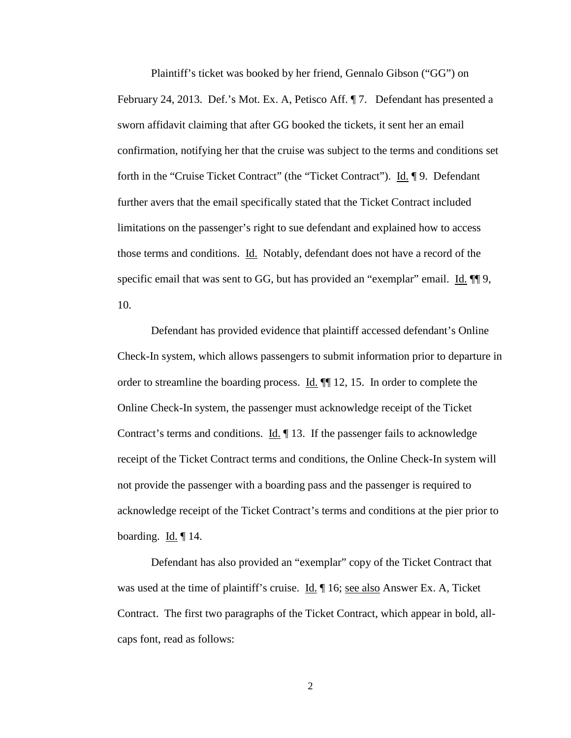Plaintiff's ticket was booked by her friend, Gennalo Gibson ("GG") on February 24, 2013. Def.'s Mot. Ex. A, Petisco Aff. ¶ 7. Defendant has presented a sworn affidavit claiming that after GG booked the tickets, it sent her an email confirmation, notifying her that the cruise was subject to the terms and conditions set forth in the "Cruise Ticket Contract" (the "Ticket Contract"). Id. 19. Defendant further avers that the email specifically stated that the Ticket Contract included limitations on the passenger's right to sue defendant and explained how to access those terms and conditions. Id. Notably, defendant does not have a record of the specific email that was sent to GG, but has provided an "exemplar" email. Id.  $\P$ [9, 10.

 Defendant has provided evidence that plaintiff accessed defendant's Online Check-In system, which allows passengers to submit information prior to departure in order to streamline the boarding process.  $\underline{Id}$ .  $\P\P$  12, 15. In order to complete the Online Check-In system, the passenger must acknowledge receipt of the Ticket Contract's terms and conditions. Id.  $\parallel$  13. If the passenger fails to acknowledge receipt of the Ticket Contract terms and conditions, the Online Check-In system will not provide the passenger with a boarding pass and the passenger is required to acknowledge receipt of the Ticket Contract's terms and conditions at the pier prior to boarding.  $\underline{Id}$ .  $\P$  14.

 Defendant has also provided an "exemplar" copy of the Ticket Contract that was used at the time of plaintiff's cruise. Id.  $\parallel$  16; see also Answer Ex. A, Ticket Contract. The first two paragraphs of the Ticket Contract, which appear in bold, allcaps font, read as follows:

2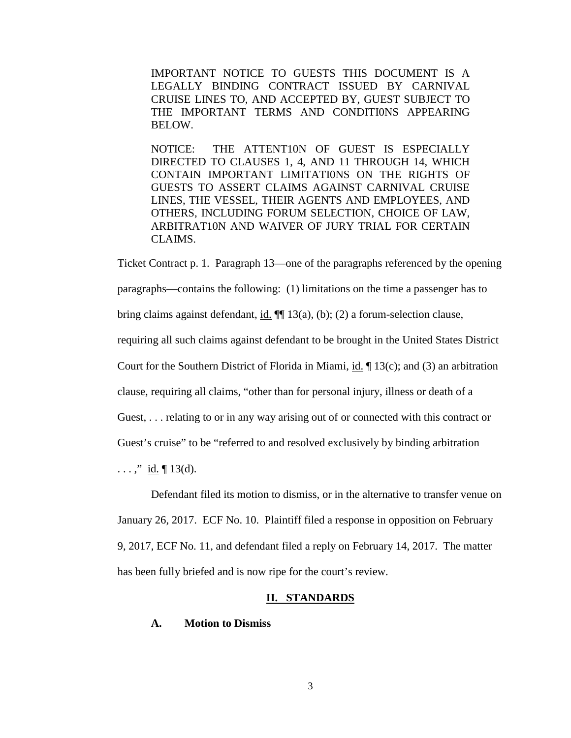IMPORTANT NOTICE TO GUESTS THIS DOCUMENT IS A LEGALLY BINDING CONTRACT ISSUED BY CARNIVAL CRUISE LINES TO, AND ACCEPTED BY, GUEST SUBJECT TO THE IMPORTANT TERMS AND CONDITI0NS APPEARING BELOW.

NOTICE: THE ATTENT10N OF GUEST IS ESPECIALLY DIRECTED TO CLAUSES 1, 4, AND 11 THROUGH 14, WHICH CONTAIN IMPORTANT LIMITATI0NS ON THE RIGHTS OF GUESTS TO ASSERT CLAIMS AGAINST CARNIVAL CRUISE LINES, THE VESSEL, THEIR AGENTS AND EMPLOYEES, AND OTHERS, INCLUDING FORUM SELECTION, CHOICE OF LAW, ARBITRAT10N AND WAIVER OF JURY TRIAL FOR CERTAIN CLAIMS.

Ticket Contract p. 1. Paragraph 13—one of the paragraphs referenced by the opening paragraphs—contains the following: (1) limitations on the time a passenger has to bring claims against defendant, id.  $\P$ [13(a), (b); (2) a forum-selection clause, requiring all such claims against defendant to be brought in the United States District Court for the Southern District of Florida in Miami, id.  $\P$  13(c); and (3) an arbitration clause, requiring all claims, "other than for personal injury, illness or death of a Guest, . . . relating to or in any way arising out of or connected with this contract or Guest's cruise" to be "referred to and resolved exclusively by binding arbitration ...,"  $\underline{\text{id}}$ .  $\P$  13(d).

Defendant filed its motion to dismiss, or in the alternative to transfer venue on January 26, 2017. ECF No. 10. Plaintiff filed a response in opposition on February 9, 2017, ECF No. 11, and defendant filed a reply on February 14, 2017. The matter has been fully briefed and is now ripe for the court's review.

#### **II. STANDARDS**

### **A. Motion to Dismiss**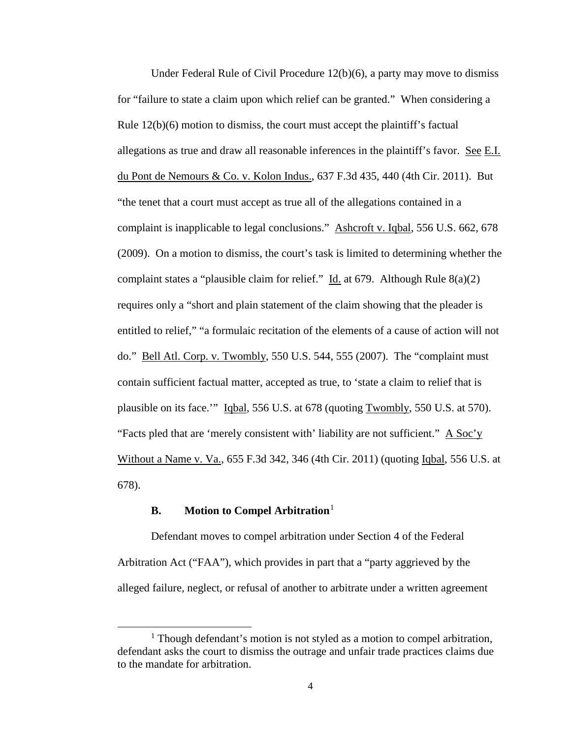Under Federal Rule of Civil Procedure 12(b)(6), a party may move to dismiss for "failure to state a claim upon which relief can be granted." When considering a Rule 12(b)(6) motion to dismiss, the court must accept the plaintiff's factual allegations as true and draw all reasonable inferences in the plaintiff's favor. See E.I. du Pont de Nemours & Co. v. Kolon Indus., 637 F.3d 435, 440 (4th Cir. 2011). But "the tenet that a court must accept as true all of the allegations contained in a complaint is inapplicable to legal conclusions." Ashcroft v. Iqbal, 556 U.S. 662, 678 (2009). On a motion to dismiss, the court's task is limited to determining whether the complaint states a "plausible claim for relief." Id. at 679. Although Rule  $8(a)(2)$ requires only a "short and plain statement of the claim showing that the pleader is entitled to relief," "a formulaic recitation of the elements of a cause of action will not do." Bell Atl. Corp. v. Twombly, 550 U.S. 544, 555 (2007). The "complaint must contain sufficient factual matter, accepted as true, to 'state a claim to relief that is plausible on its face." Iqbal, 556 U.S. at 678 (quoting Twombly, 550 U.S. at 570). "Facts pled that are 'merely consistent with' liability are not sufficient."  $\overline{A}$  Soc'y Without a Name v. Va., 655 F.3d 342, 346 (4th Cir. 2011) (quoting Iqbal, 556 U.S. at 678).

## **B.** Motion to Compel Arbitration<sup>[1](#page-3-0)</sup>

 $\overline{a}$ 

Defendant moves to compel arbitration under Section 4 of the Federal Arbitration Act ("FAA"), which provides in part that a "party aggrieved by the alleged failure, neglect, or refusal of another to arbitrate under a written agreement

<span id="page-3-0"></span><sup>&</sup>lt;sup>1</sup> Though defendant's motion is not styled as a motion to compel arbitration, defendant asks the court to dismiss the outrage and unfair trade practices claims due to the mandate for arbitration.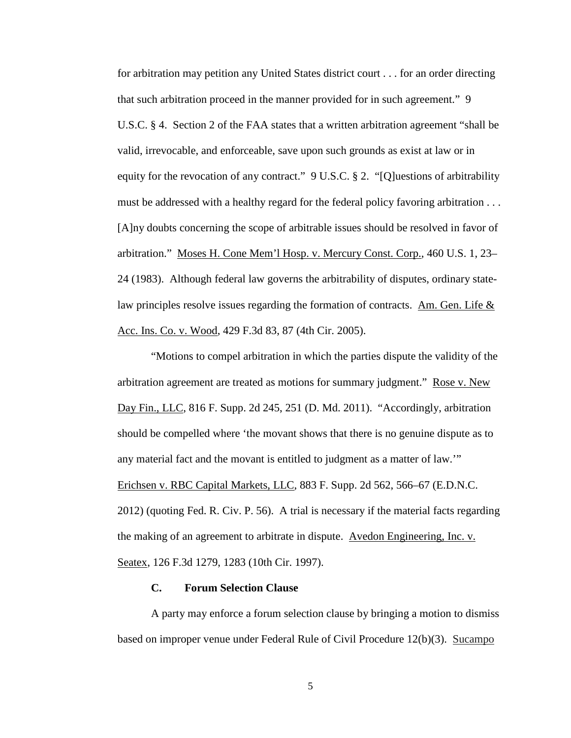for arbitration may petition any United States district court . . . for an order directing that such arbitration proceed in the manner provided for in such agreement." 9 U.S.C. § 4. Section 2 of the FAA states that a written arbitration agreement "shall be valid, irrevocable, and enforceable, save upon such grounds as exist at law or in equity for the revocation of any contract." 9 U.S.C. § 2. "[Q]uestions of arbitrability must be addressed with a healthy regard for the federal policy favoring arbitration . . . [A]ny doubts concerning the scope of arbitrable issues should be resolved in favor of arbitration." Moses H. Cone Mem'l Hosp. v. Mercury Const. Corp., 460 U.S. 1, 23– 24 (1983). Although federal law governs the arbitrability of disputes, ordinary statelaw principles resolve issues regarding the formation of contracts. Am. Gen. Life & Acc. Ins. Co. v. Wood, 429 F.3d 83, 87 (4th Cir. 2005).

"Motions to compel arbitration in which the parties dispute the validity of the arbitration agreement are treated as motions for summary judgment." Rose v. New Day Fin., LLC, 816 F. Supp. 2d 245, 251 (D. Md. 2011). "Accordingly, arbitration should be compelled where 'the movant shows that there is no genuine dispute as to any material fact and the movant is entitled to judgment as a matter of law.'" Erichsen v. RBC Capital Markets, LLC, 883 F. Supp. 2d 562, 566–67 (E.D.N.C. 2012) (quoting Fed. R. Civ. P. 56). A trial is necessary if the material facts regarding the making of an agreement to arbitrate in dispute. Avedon Engineering, Inc. v. Seatex, 126 F.3d 1279, 1283 (10th Cir. 1997).

#### **C. Forum Selection Clause**

A party may enforce a forum selection clause by bringing a motion to dismiss based on improper venue under Federal Rule of Civil Procedure 12(b)(3). Sucampo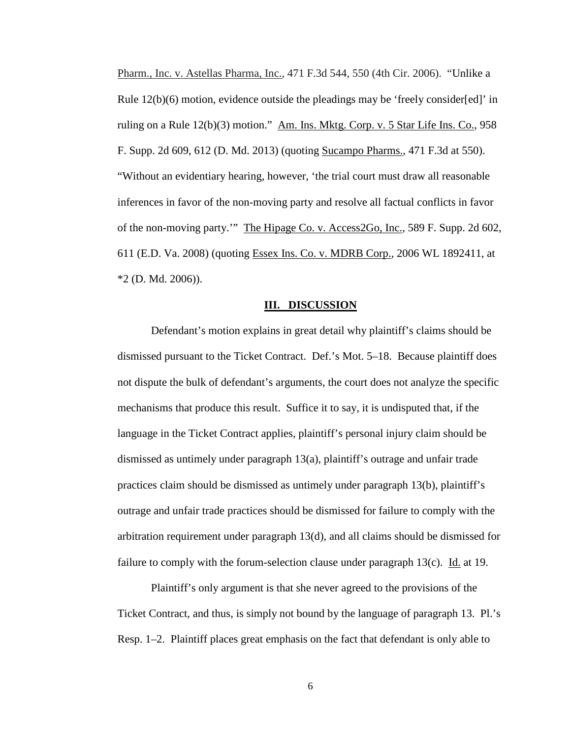Pharm., Inc. v. Astellas Pharma, Inc., 471 F.3d 544, 550 (4th Cir. 2006). "Unlike a Rule  $12(b)(6)$  motion, evidence outside the pleadings may be 'freely consider[ed]' in ruling on a Rule 12(b)(3) motion." Am. Ins. Mktg. Corp. v. 5 Star Life Ins. Co., 958 F. Supp. 2d 609, 612 (D. Md. 2013) (quoting Sucampo Pharms., 471 F.3d at 550). "Without an evidentiary hearing, however, 'the trial court must draw all reasonable inferences in favor of the non-moving party and resolve all factual conflicts in favor of the non-moving party.'" The Hipage Co. v. Access2Go, Inc., 589 F. Supp. 2d 602, 611 (E.D. Va. 2008) (quoting Essex Ins. Co. v. MDRB Corp., 2006 WL 1892411, at \*2 (D. Md. 2006)).

#### **III. DISCUSSION**

Defendant's motion explains in great detail why plaintiff's claims should be dismissed pursuant to the Ticket Contract. Def.'s Mot. 5–18. Because plaintiff does not dispute the bulk of defendant's arguments, the court does not analyze the specific mechanisms that produce this result. Suffice it to say, it is undisputed that, if the language in the Ticket Contract applies, plaintiff's personal injury claim should be dismissed as untimely under paragraph 13(a), plaintiff's outrage and unfair trade practices claim should be dismissed as untimely under paragraph 13(b), plaintiff's outrage and unfair trade practices should be dismissed for failure to comply with the arbitration requirement under paragraph 13(d), and all claims should be dismissed for failure to comply with the forum-selection clause under paragraph 13(c). Id. at 19.

Plaintiff's only argument is that she never agreed to the provisions of the Ticket Contract, and thus, is simply not bound by the language of paragraph 13. Pl.'s Resp. 1–2. Plaintiff places great emphasis on the fact that defendant is only able to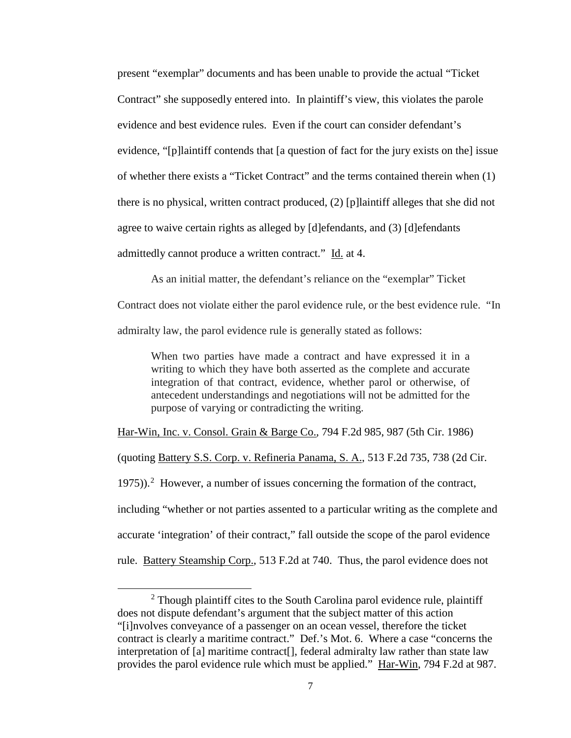present "exemplar" documents and has been unable to provide the actual "Ticket Contract" she supposedly entered into. In plaintiff's view, this violates the parole evidence and best evidence rules. Even if the court can consider defendant's evidence, "[p]laintiff contends that [a question of fact for the jury exists on the] issue of whether there exists a "Ticket Contract" and the terms contained therein when (1) there is no physical, written contract produced, (2) [p]laintiff alleges that she did not agree to waive certain rights as alleged by [d]efendants, and (3) [d]efendants admittedly cannot produce a written contract." Id. at 4.

As an initial matter, the defendant's reliance on the "exemplar" Ticket

Contract does not violate either the parol evidence rule, or the best evidence rule. "In admiralty law, the parol evidence rule is generally stated as follows:

When two parties have made a contract and have expressed it in a writing to which they have both asserted as the complete and accurate integration of that contract, evidence, whether parol or otherwise, of antecedent understandings and negotiations will not be admitted for the purpose of varying or contradicting the writing.

Har-Win, Inc. v. Consol. Grain & Barge Co., 794 F.2d 985, 987 (5th Cir. 1986)

(quoting Battery S.S. Corp. v. Refineria Panama, S. A., 513 F.2d 735, 738 (2d Cir.

1975)). $^2$  $^2$  However, a number of issues concerning the formation of the contract,

including "whether or not parties assented to a particular writing as the complete and

accurate 'integration' of their contract," fall outside the scope of the parol evidence

rule. Battery Steamship Corp., 513 F.2d at 740. Thus, the parol evidence does not

l

<span id="page-6-0"></span> $2$  Though plaintiff cites to the South Carolina parol evidence rule, plaintiff does not dispute defendant's argument that the subject matter of this action "[i]nvolves conveyance of a passenger on an ocean vessel, therefore the ticket contract is clearly a maritime contract." Def.'s Mot. 6. Where a case "concerns the interpretation of [a] maritime contract[], federal admiralty law rather than state law provides the parol evidence rule which must be applied." Har-Win, 794 F.2d at 987.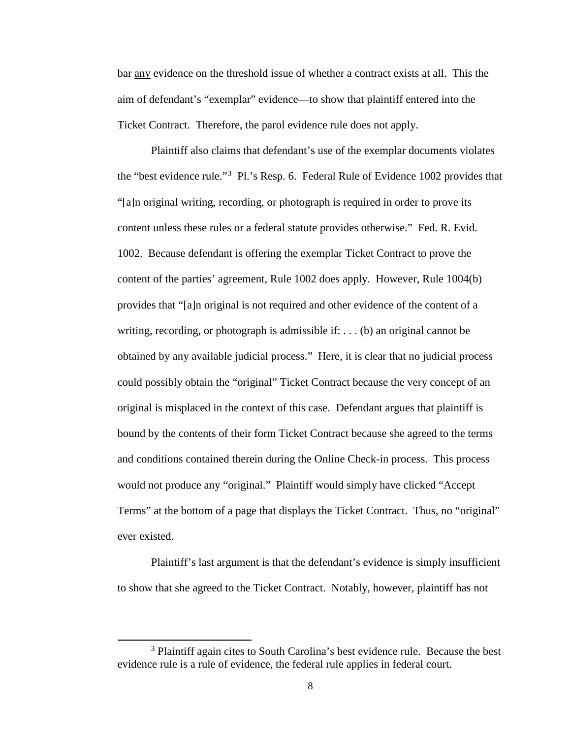bar any evidence on the threshold issue of whether a contract exists at all. This the aim of defendant's "exemplar" evidence—to show that plaintiff entered into the Ticket Contract. Therefore, the parol evidence rule does not apply.

Plaintiff also claims that defendant's use of the exemplar documents violates the "best evidence rule."<sup>[3](#page-7-0)</sup> Pl.'s Resp. 6. Federal Rule of Evidence 1002 provides that "[a]n original writing, recording, or photograph is required in order to prove its content unless these rules or a federal statute provides otherwise." Fed. R. Evid. 1002. Because defendant is offering the exemplar Ticket Contract to prove the content of the parties' agreement, Rule 1002 does apply. However, Rule 1004(b) provides that "[a]n original is not required and other evidence of the content of a writing, recording, or photograph is admissible if:  $\dots$  (b) an original cannot be obtained by any available judicial process." Here, it is clear that no judicial process could possibly obtain the "original" Ticket Contract because the very concept of an original is misplaced in the context of this case. Defendant argues that plaintiff is bound by the contents of their form Ticket Contract because she agreed to the terms and conditions contained therein during the Online Check-in process. This process would not produce any "original." Plaintiff would simply have clicked "Accept Terms" at the bottom of a page that displays the Ticket Contract. Thus, no "original" ever existed.

Plaintiff's last argument is that the defendant's evidence is simply insufficient to show that she agreed to the Ticket Contract. Notably, however, plaintiff has not

 $\overline{a}$ 

<span id="page-7-0"></span><sup>&</sup>lt;sup>3</sup> Plaintiff again cites to South Carolina's best evidence rule. Because the best evidence rule is a rule of evidence, the federal rule applies in federal court.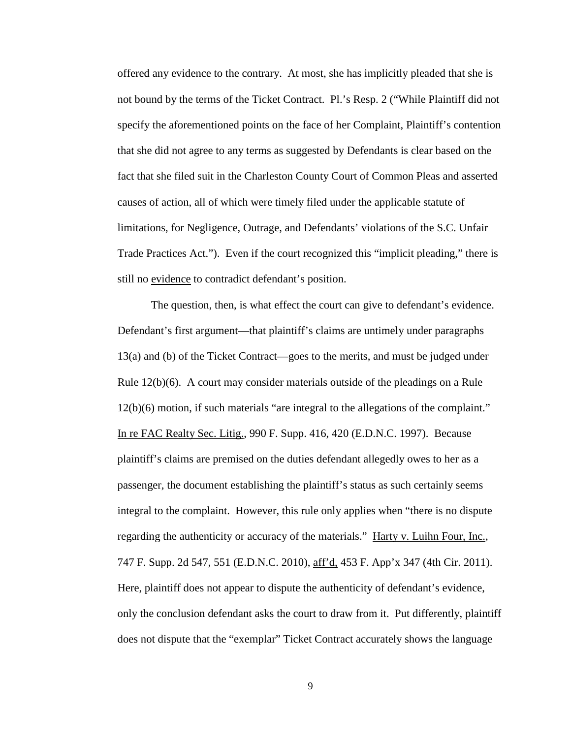offered any evidence to the contrary. At most, she has implicitly pleaded that she is not bound by the terms of the Ticket Contract. Pl.'s Resp. 2 ("While Plaintiff did not specify the aforementioned points on the face of her Complaint, Plaintiff's contention that she did not agree to any terms as suggested by Defendants is clear based on the fact that she filed suit in the Charleston County Court of Common Pleas and asserted causes of action, all of which were timely filed under the applicable statute of limitations, for Negligence, Outrage, and Defendants' violations of the S.C. Unfair Trade Practices Act."). Even if the court recognized this "implicit pleading," there is still no evidence to contradict defendant's position.

 The question, then, is what effect the court can give to defendant's evidence. Defendant's first argument—that plaintiff's claims are untimely under paragraphs 13(a) and (b) of the Ticket Contract—goes to the merits, and must be judged under Rule 12(b)(6). A court may consider materials outside of the pleadings on a Rule 12(b)(6) motion, if such materials "are integral to the allegations of the complaint." In re FAC Realty Sec. Litig., 990 F. Supp. 416, 420 (E.D.N.C. 1997). Because plaintiff's claims are premised on the duties defendant allegedly owes to her as a passenger, the document establishing the plaintiff's status as such certainly seems integral to the complaint. However, this rule only applies when "there is no dispute regarding the authenticity or accuracy of the materials." Harty v. Luihn Four, Inc., 747 F. Supp. 2d 547, 551 (E.D.N.C. 2010), aff'd, 453 F. App'x 347 (4th Cir. 2011). Here, plaintiff does not appear to dispute the authenticity of defendant's evidence, only the conclusion defendant asks the court to draw from it. Put differently, plaintiff does not dispute that the "exemplar" Ticket Contract accurately shows the language

9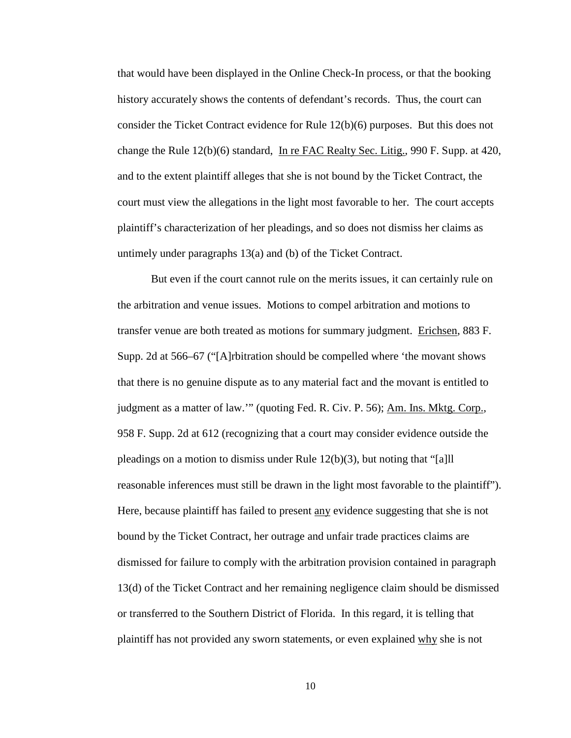that would have been displayed in the Online Check-In process, or that the booking history accurately shows the contents of defendant's records. Thus, the court can consider the Ticket Contract evidence for Rule 12(b)(6) purposes. But this does not change the Rule 12(b)(6) standard, In re FAC Realty Sec. Litig., 990 F. Supp. at 420, and to the extent plaintiff alleges that she is not bound by the Ticket Contract, the court must view the allegations in the light most favorable to her. The court accepts plaintiff's characterization of her pleadings, and so does not dismiss her claims as untimely under paragraphs 13(a) and (b) of the Ticket Contract.

 But even if the court cannot rule on the merits issues, it can certainly rule on the arbitration and venue issues. Motions to compel arbitration and motions to transfer venue are both treated as motions for summary judgment. Erichsen, 883 F. Supp. 2d at 566–67 ("[A]rbitration should be compelled where 'the movant shows that there is no genuine dispute as to any material fact and the movant is entitled to judgment as a matter of law."" (quoting Fed. R. Civ. P. 56); Am. Ins. Mktg. Corp., 958 F. Supp. 2d at 612 (recognizing that a court may consider evidence outside the pleadings on a motion to dismiss under Rule 12(b)(3), but noting that "[a]ll reasonable inferences must still be drawn in the light most favorable to the plaintiff"). Here, because plaintiff has failed to present <u>any</u> evidence suggesting that she is not bound by the Ticket Contract, her outrage and unfair trade practices claims are dismissed for failure to comply with the arbitration provision contained in paragraph 13(d) of the Ticket Contract and her remaining negligence claim should be dismissed or transferred to the Southern District of Florida. In this regard, it is telling that plaintiff has not provided any sworn statements, or even explained why she is not

10